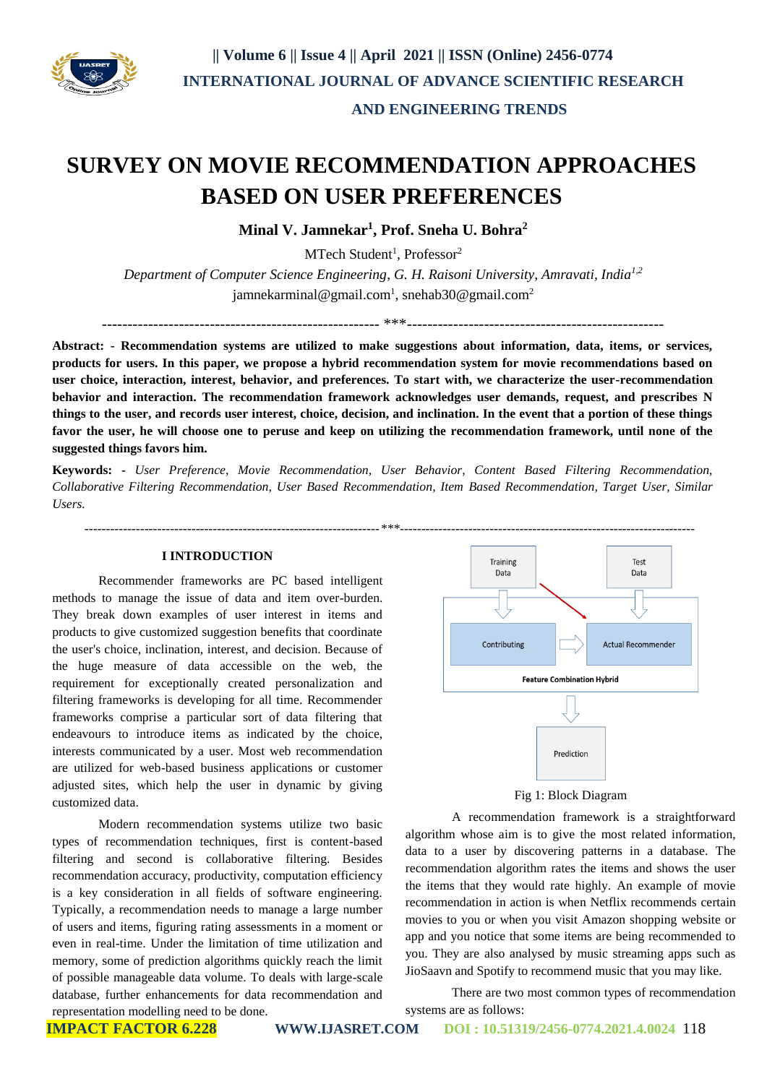

# **SURVEY ON MOVIE RECOMMENDATION APPROACHES BASED ON USER PREFERENCES**

**Minal V. Jamnekar<sup>1</sup> , Prof. Sneha U. Bohra<sup>2</sup>**

MTech Student<sup>1</sup>, Professor<sup>2</sup>

*Department of Computer Science Engineering*, *G. H. Raisoni University, Amravati, India1,2* jamnekarminal@gmail.com<sup>1</sup>, snehab30@gmail.com<sup>2</sup>

------------------------------------------------------ \*\*\*--------------------------------------------------

**Abstract: - Recommendation systems are utilized to make suggestions about information, data, items, or services, products for users. In this paper, we propose a hybrid recommendation system for movie recommendations based on user choice, interaction, interest, behavior, and preferences. To start with, we characterize the user-recommendation behavior and interaction. The recommendation framework acknowledges user demands, request, and prescribes N things to the user, and records user interest, choice, decision, and inclination. In the event that a portion of these things favor the user, he will choose one to peruse and keep on utilizing the recommendation framework, until none of the suggested things favors him.**

**Keywords: -** *User Preference, Movie Recommendation, User Behavior, Content Based Filtering Recommendation, Collaborative Filtering Recommendation, User Based Recommendation, Item Based Recommendation, Target User, Similar Users.*

#### **I INTRODUCTION**

 *---------------------------------------------------------------------\*\*\*---------------------------------------------------------------------*

Recommender frameworks are PC based intelligent methods to manage the issue of data and item over-burden. They break down examples of user interest in items and products to give customized suggestion benefits that coordinate the user's choice, inclination, interest, and decision. Because of the huge measure of data accessible on the web, the requirement for exceptionally created personalization and filtering frameworks is developing for all time. Recommender frameworks comprise a particular sort of data filtering that endeavours to introduce items as indicated by the choice, interests communicated by a user. Most web recommendation are utilized for web-based business applications or customer adjusted sites, which help the user in dynamic by giving customized data.

Modern recommendation systems utilize two basic types of recommendation techniques, first is content-based filtering and second is collaborative filtering. Besides recommendation accuracy, productivity, computation efficiency is a key consideration in all fields of software engineering. Typically, a recommendation needs to manage a large number of users and items, figuring rating assessments in a moment or even in real-time. Under the limitation of time utilization and memory, some of prediction algorithms quickly reach the limit of possible manageable data volume. To deals with large-scale database, further enhancements for data recommendation and representation modelling need to be done.



Fig 1: Block Diagram

A recommendation framework is a straightforward algorithm whose aim is to give the most related information, data to a user by discovering patterns in a database. The recommendation algorithm rates the items and shows the user the items that they would rate highly. An example of movie recommendation in action is when Netflix recommends certain movies to you or when you visit Amazon shopping website or app and you notice that some items are being recommended to you. They are also analysed by music streaming apps such as JioSaavn and Spotify to recommend music that you may like.

There are two most common types of recommendation systems are as follows: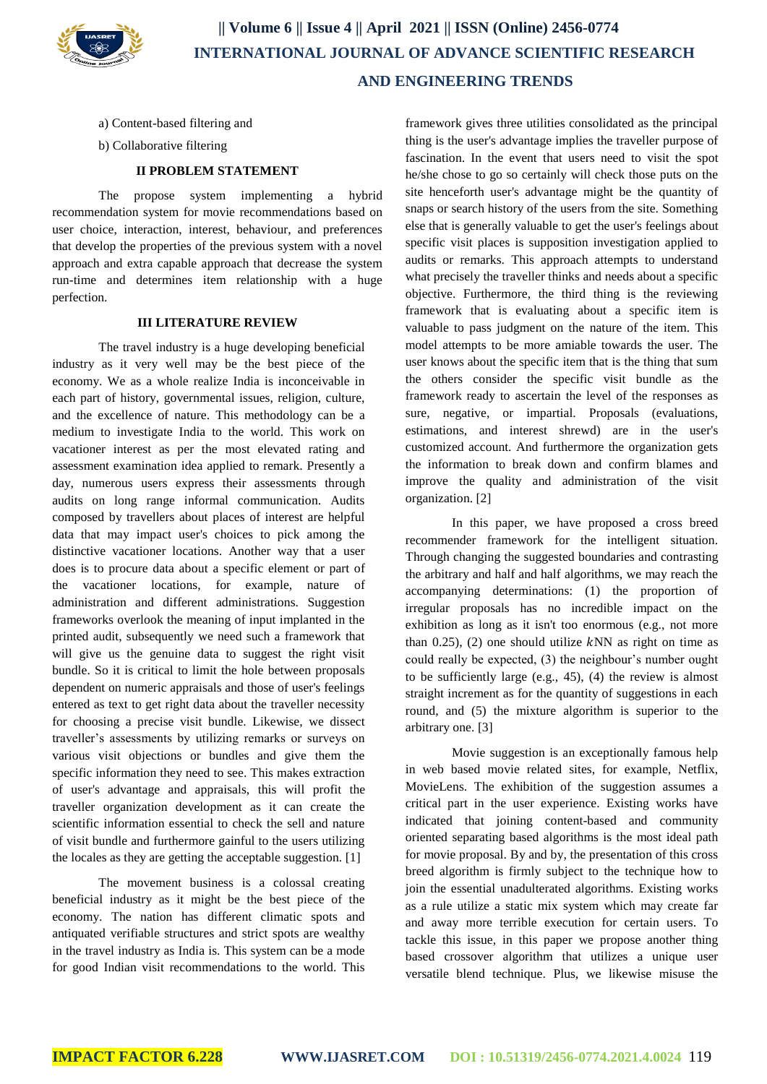

- a) Content-based filtering and
- b) Collaborative filtering

# **II PROBLEM STATEMENT**

The propose system implementing a hybrid recommendation system for movie recommendations based on user choice, interaction, interest, behaviour, and preferences that develop the properties of the previous system with a novel approach and extra capable approach that decrease the system run-time and determines item relationship with a huge perfection.

# **III LITERATURE REVIEW**

The travel industry is a huge developing beneficial industry as it very well may be the best piece of the economy. We as a whole realize India is inconceivable in each part of history, governmental issues, religion, culture, and the excellence of nature. This methodology can be a medium to investigate India to the world. This work on vacationer interest as per the most elevated rating and assessment examination idea applied to remark. Presently a day, numerous users express their assessments through audits on long range informal communication. Audits composed by travellers about places of interest are helpful data that may impact user's choices to pick among the distinctive vacationer locations. Another way that a user does is to procure data about a specific element or part of the vacationer locations, for example, nature of administration and different administrations. Suggestion frameworks overlook the meaning of input implanted in the printed audit, subsequently we need such a framework that will give us the genuine data to suggest the right visit bundle. So it is critical to limit the hole between proposals dependent on numeric appraisals and those of user's feelings entered as text to get right data about the traveller necessity for choosing a precise visit bundle. Likewise, we dissect traveller's assessments by utilizing remarks or surveys on various visit objections or bundles and give them the specific information they need to see. This makes extraction of user's advantage and appraisals, this will profit the traveller organization development as it can create the scientific information essential to check the sell and nature of visit bundle and furthermore gainful to the users utilizing the locales as they are getting the acceptable suggestion. [1]

The movement business is a colossal creating beneficial industry as it might be the best piece of the economy. The nation has different climatic spots and antiquated verifiable structures and strict spots are wealthy in the travel industry as India is. This system can be a mode for good Indian visit recommendations to the world. This framework gives three utilities consolidated as the principal thing is the user's advantage implies the traveller purpose of fascination. In the event that users need to visit the spot he/she chose to go so certainly will check those puts on the site henceforth user's advantage might be the quantity of snaps or search history of the users from the site. Something else that is generally valuable to get the user's feelings about specific visit places is supposition investigation applied to audits or remarks. This approach attempts to understand what precisely the traveller thinks and needs about a specific objective. Furthermore, the third thing is the reviewing framework that is evaluating about a specific item is valuable to pass judgment on the nature of the item. This model attempts to be more amiable towards the user. The user knows about the specific item that is the thing that sum the others consider the specific visit bundle as the framework ready to ascertain the level of the responses as sure, negative, or impartial. Proposals (evaluations, estimations, and interest shrewd) are in the user's customized account. And furthermore the organization gets the information to break down and confirm blames and improve the quality and administration of the visit organization. [2]

In this paper, we have proposed a cross breed recommender framework for the intelligent situation. Through changing the suggested boundaries and contrasting the arbitrary and half and half algorithms, we may reach the accompanying determinations: (1) the proportion of irregular proposals has no incredible impact on the exhibition as long as it isn't too enormous (e.g., not more than  $0.25$ ), (2) one should utilize  $kNN$  as right on time as could really be expected, (3) the neighbour's number ought to be sufficiently large (e.g., 45), (4) the review is almost straight increment as for the quantity of suggestions in each round, and (5) the mixture algorithm is superior to the arbitrary one. [3]

Movie suggestion is an exceptionally famous help in web based movie related sites, for example, Netflix, MovieLens. The exhibition of the suggestion assumes a critical part in the user experience. Existing works have indicated that joining content-based and community oriented separating based algorithms is the most ideal path for movie proposal. By and by, the presentation of this cross breed algorithm is firmly subject to the technique how to join the essential unadulterated algorithms. Existing works as a rule utilize a static mix system which may create far and away more terrible execution for certain users. To tackle this issue, in this paper we propose another thing based crossover algorithm that utilizes a unique user versatile blend technique. Plus, we likewise misuse the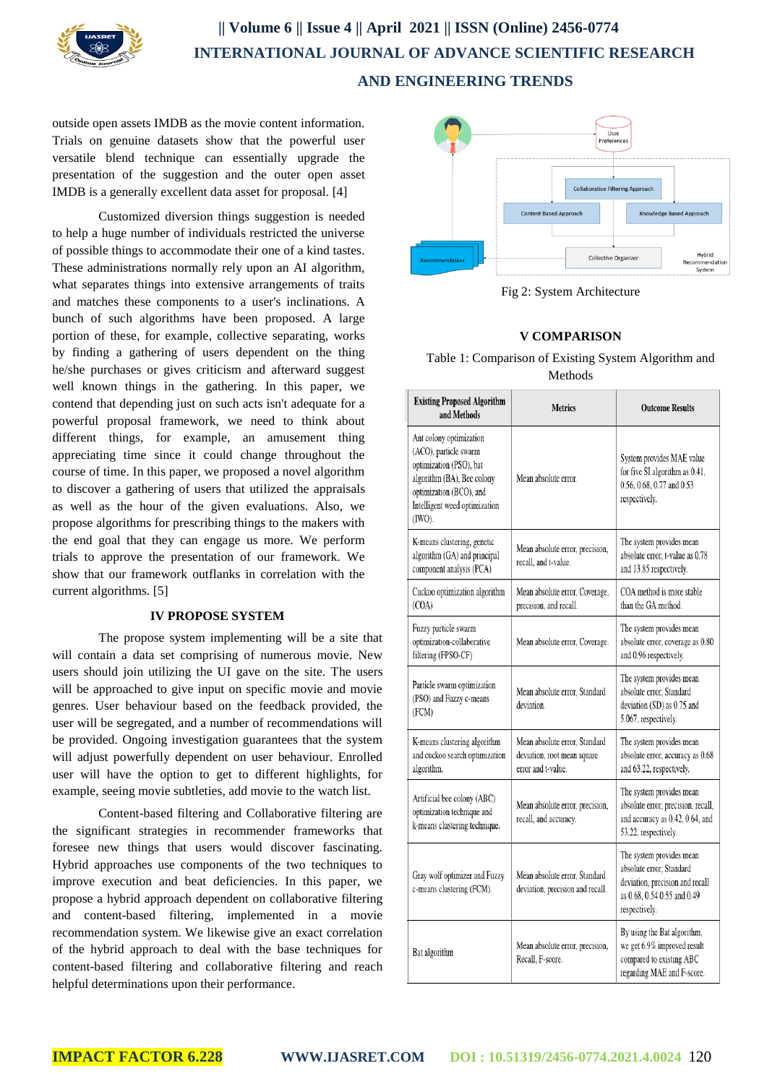

outside open assets IMDB as the movie content information. Trials on genuine datasets show that the powerful user versatile blend technique can essentially upgrade the presentation of the suggestion and the outer open asset IMDB is a generally excellent data asset for proposal. [4]

Customized diversion things suggestion is needed to help a huge number of individuals restricted the universe of possible things to accommodate their one of a kind tastes. These administrations normally rely upon an AI algorithm, what separates things into extensive arrangements of traits and matches these components to a user's inclinations. A bunch of such algorithms have been proposed. A large portion of these, for example, collective separating, works by finding a gathering of users dependent on the thing he/she purchases or gives criticism and afterward suggest well known things in the gathering. In this paper, we contend that depending just on such acts isn't adequate for a powerful proposal framework, we need to think about different things, for example, an amusement thing appreciating time since it could change throughout the course of time. In this paper, we proposed a novel algorithm to discover a gathering of users that utilized the appraisals as well as the hour of the given evaluations. Also, we propose algorithms for prescribing things to the makers with the end goal that they can engage us more. We perform trials to approve the presentation of our framework. We show that our framework outflanks in correlation with the current algorithms. [5]

#### **IV PROPOSE SYSTEM**

The propose system implementing will be a site that will contain a data set comprising of numerous movie. New users should join utilizing the UI gave on the site. The users will be approached to give input on specific movie and movie genres. User behaviour based on the feedback provided, the user will be segregated, and a number of recommendations will be provided. Ongoing investigation guarantees that the system will adjust powerfully dependent on user behaviour. Enrolled user will have the option to get to different highlights, for example, seeing movie subtleties, add movie to the watch list.

Content-based filtering and Collaborative filtering are the significant strategies in recommender frameworks that foresee new things that users would discover fascinating. Hybrid approaches use components of the two techniques to improve execution and beat deficiencies. In this paper, we propose a hybrid approach dependent on collaborative filtering and content-based filtering, implemented in a movie recommendation system. We likewise give an exact correlation of the hybrid approach to deal with the base techniques for content-based filtering and collaborative filtering and reach helpful determinations upon their performance.



Fig 2: System Architecture

# **V COMPARISON**

Table 1: Comparison of Existing System Algorithm and Methods

| <b>Existing Proposed Algorithm</b><br>and Methods                                                                                                                               | <b>Metrics</b>                                                                     | <b>Outcome Results</b>                                                                                                                  |
|---------------------------------------------------------------------------------------------------------------------------------------------------------------------------------|------------------------------------------------------------------------------------|-----------------------------------------------------------------------------------------------------------------------------------------|
| Ant colony optimization<br>(ACO), particle swarm<br>optimization (PSO), bat<br>algorithm (BA), Bee colony<br>optimization (BCO), and<br>Intelligent weed optimization<br>(IWO). | Mean absolute error.                                                               | System provides MAE value<br>for five SI algorithm as 0.41,<br>0.56, 0.68, 0.77 and 0.53<br>respectively.                               |
| K-means clustering, genetic<br>algorithm (GA) and principal<br>component analysis (PCA)                                                                                         | Mean absolute error, precision,<br>recall, and t-value.                            | The system provides mean<br>absolute error, t-value as 0.78<br>and 13.85 respectively.                                                  |
| Cuckoo optimization algorithm<br>(COA)                                                                                                                                          | Mean absolute error, Coverage,<br>precision, and recall.                           | COA method is more stable<br>than the GA method.                                                                                        |
| Fuzzy particle swarm<br>optimization-collaborative<br>filtering (FPSO-CF)                                                                                                       | Mean absolute error, Coverage.                                                     | The system provides mean<br>absolute error, coverage as 0.80<br>and 0.96 respectively.                                                  |
| Particle swarm optimization<br>(PSO) and Fuzzy c-means<br>(FCM)                                                                                                                 | Mean absolute error, Standard<br>deviation.                                        | The system provides mean<br>absolute error. Standard<br>deviation (SD) as 0.75 and<br>5.067, respectively.                              |
| K-means clustering algorithm<br>and cuckoo search optimization<br>algorithm.                                                                                                    | Mean absolute error, Standard<br>deviation, root mean square<br>error and t-value. | The system provides mean<br>absolute error, accuracy as 0.68<br>and 63.22, respectively.                                                |
| Artificial bee colony (ABC)<br>optimization technique and<br>k-means clustering technique.                                                                                      | Mean absolute error, precision,<br>recall, and accuracy.                           | The system provides mean<br>absolute error, precision, recall,<br>and accuracy as 0.42, 0.64, and<br>53.22, respectively.               |
| Gray wolf optimizer and Fuzzy<br>c-means clustering (FCM).                                                                                                                      | Mean absolute error, Standard<br>deviation, precision and recall.                  | The system provides mean<br>absolute error, Standard<br>deviation, precision and recall<br>as 0.68, 0.54 0.55 and 0.49<br>respectively. |
| Bat algorithm                                                                                                                                                                   | Mean absolute error, precision,<br>Recall, F-score.                                | By using the Bat algorithm,<br>we get 6.9% improved result<br>compared to existing ABC<br>regarding MAE and F-score.                    |